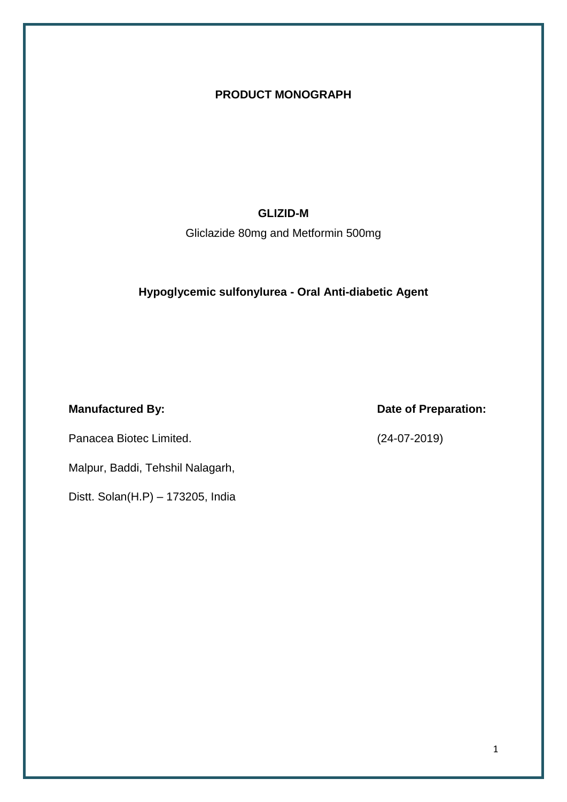#### **PRODUCT MONOGRAPH**

#### **GLIZID-M**

Gliclazide 80mg and Metformin 500mg

#### **Hypoglycemic sulfonylurea - Oral Anti-diabetic Agent**

Panacea Biotec Limited. (24-07-2019)

Malpur, Baddi, Tehshil Nalagarh,

Distt. Solan(H.P) – 173205, India

**Manufactured By: Date of Preparation:**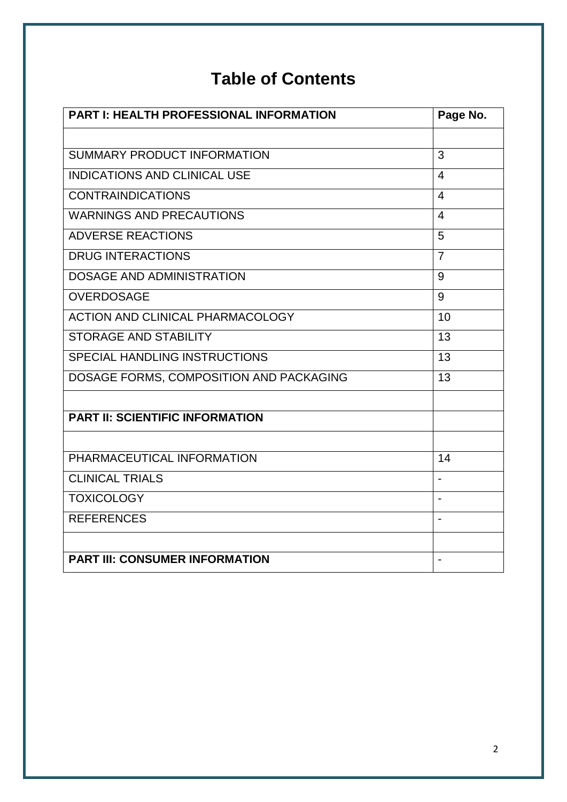# **Table of Contents**

| <b>PART I: HEALTH PROFESSIONAL INFORMATION</b> | Page No.       |
|------------------------------------------------|----------------|
|                                                |                |
| SUMMARY PRODUCT INFORMATION                    | 3              |
| <b>INDICATIONS AND CLINICAL USE</b>            | 4              |
| <b>CONTRAINDICATIONS</b>                       | $\overline{4}$ |
| <b>WARNINGS AND PRECAUTIONS</b>                | $\overline{4}$ |
| <b>ADVERSE REACTIONS</b>                       | 5              |
| <b>DRUG INTERACTIONS</b>                       | $\overline{7}$ |
| <b>DOSAGE AND ADMINISTRATION</b>               | 9              |
| <b>OVERDOSAGE</b>                              | 9              |
| <b>ACTION AND CLINICAL PHARMACOLOGY</b>        | 10             |
| <b>STORAGE AND STABILITY</b>                   | 13             |
| SPECIAL HANDLING INSTRUCTIONS                  | 13             |
| DOSAGE FORMS, COMPOSITION AND PACKAGING        | 13             |
|                                                |                |
| <b>PART II: SCIENTIFIC INFORMATION</b>         |                |
|                                                |                |
| PHARMACEUTICAL INFORMATION                     | 14             |
| <b>CLINICAL TRIALS</b>                         |                |
| <b>TOXICOLOGY</b>                              | $\blacksquare$ |
| <b>REFERENCES</b>                              |                |
|                                                |                |
| <b>PART III: CONSUMER INFORMATION</b>          |                |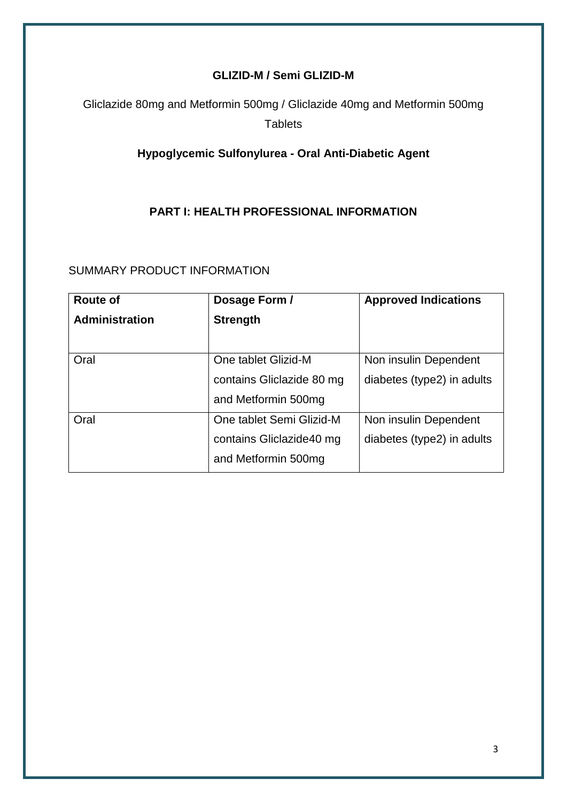## **GLIZID-M / Semi GLIZID-M**

Gliclazide 80mg and Metformin 500mg / Gliclazide 40mg and Metformin 500mg **Tablets** 

## **Hypoglycemic Sulfonylurea - Oral Anti-Diabetic Agent**

#### **PART I: HEALTH PROFESSIONAL INFORMATION**

## SUMMARY PRODUCT INFORMATION

| <b>Route of</b>       | Dosage Form /             | <b>Approved Indications</b> |
|-----------------------|---------------------------|-----------------------------|
| <b>Administration</b> | <b>Strength</b>           |                             |
|                       |                           |                             |
| Oral                  | One tablet Glizid-M       | Non insulin Dependent       |
|                       | contains Gliclazide 80 mg | diabetes (type2) in adults  |
|                       | and Metformin 500mg       |                             |
| Oral                  | One tablet Semi Glizid-M  | Non insulin Dependent       |
|                       | contains Gliclazide40 mg  | diabetes (type2) in adults  |
|                       | and Metformin 500mg       |                             |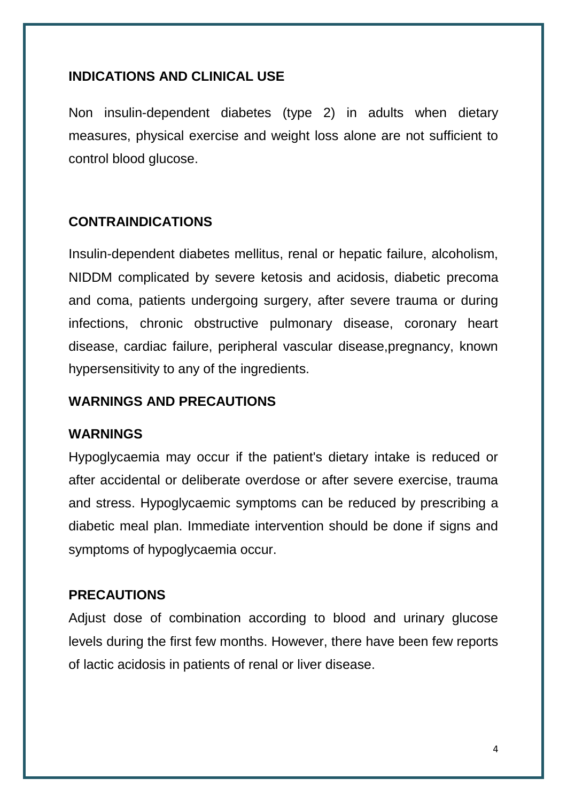## **INDICATIONS AND CLINICAL USE**

Non insulin-dependent diabetes (type 2) in adults when dietary measures, physical exercise and weight loss alone are not sufficient to control blood glucose.

# **CONTRAINDICATIONS**

Insulin-dependent diabetes mellitus, renal or hepatic failure, alcoholism, NIDDM complicated by severe ketosis and acidosis, diabetic precoma and coma, patients undergoing surgery, after severe trauma or during infections, chronic obstructive pulmonary disease, coronary heart disease, cardiac failure, peripheral vascular disease,pregnancy, known hypersensitivity to any of the ingredients.

## **WARNINGS AND PRECAUTIONS**

## **WARNINGS**

Hypoglycaemia may occur if the patient's dietary intake is reduced or after accidental or deliberate overdose or after severe exercise, trauma and stress. Hypoglycaemic symptoms can be reduced by prescribing a diabetic meal plan. Immediate intervention should be done if signs and symptoms of hypoglycaemia occur.

## **PRECAUTIONS**

Adjust dose of combination according to blood and urinary glucose levels during the first few months. However, there have been few reports of lactic acidosis in patients of renal or liver disease.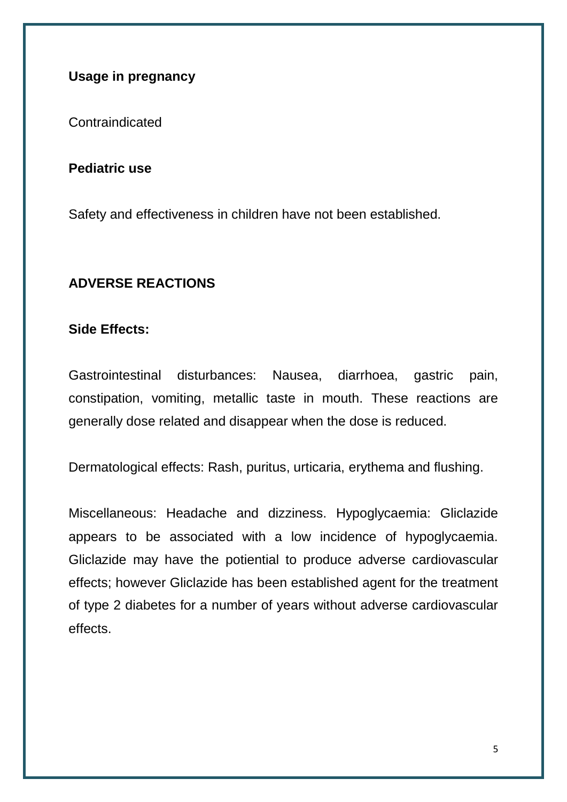## **Usage in pregnancy**

Contraindicated

#### **Pediatric use**

Safety and effectiveness in children have not been established.

## **ADVERSE REACTIONS**

#### **Side Effects:**

Gastrointestinal disturbances: Nausea, diarrhoea, gastric pain, constipation, vomiting, metallic taste in mouth. These reactions are generally dose related and disappear when the dose is reduced.

Dermatological effects: Rash, puritus, urticaria, erythema and flushing.

Miscellaneous: Headache and dizziness. Hypoglycaemia: Gliclazide appears to be associated with a low incidence of hypoglycaemia. Gliclazide may have the potiential to produce adverse cardiovascular effects; however Gliclazide has been established agent for the treatment of type 2 diabetes for a number of years without adverse cardiovascular effects.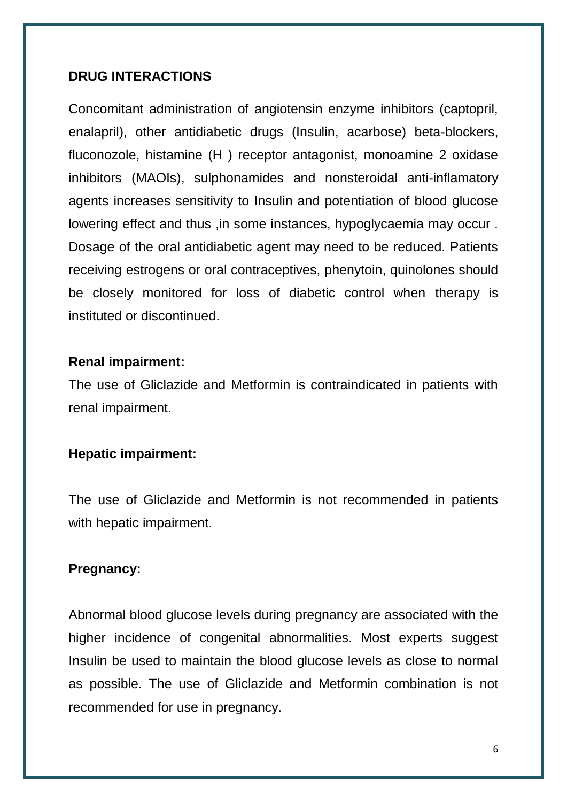#### **DRUG INTERACTIONS**

Concomitant administration of angiotensin enzyme inhibitors (captopril, enalapril), other antidiabetic drugs (Insulin, acarbose) beta-blockers, fluconozole, histamine (H ) receptor antagonist, monoamine 2 oxidase inhibitors (MAOIs), sulphonamides and nonsteroidal anti-inflamatory agents increases sensitivity to Insulin and potentiation of blood glucose lowering effect and thus ,in some instances, hypoglycaemia may occur . Dosage of the oral antidiabetic agent may need to be reduced. Patients receiving estrogens or oral contraceptives, phenytoin, quinolones should be closely monitored for loss of diabetic control when therapy is instituted or discontinued.

#### **Renal impairment:**

The use of Gliclazide and Metformin is contraindicated in patients with renal impairment.

#### **Hepatic impairment:**

The use of Gliclazide and Metformin is not recommended in patients with hepatic impairment.

#### **Pregnancy:**

Abnormal blood glucose levels during pregnancy are associated with the higher incidence of congenital abnormalities. Most experts suggest Insulin be used to maintain the blood glucose levels as close to normal as possible. The use of Gliclazide and Metformin combination is not recommended for use in pregnancy.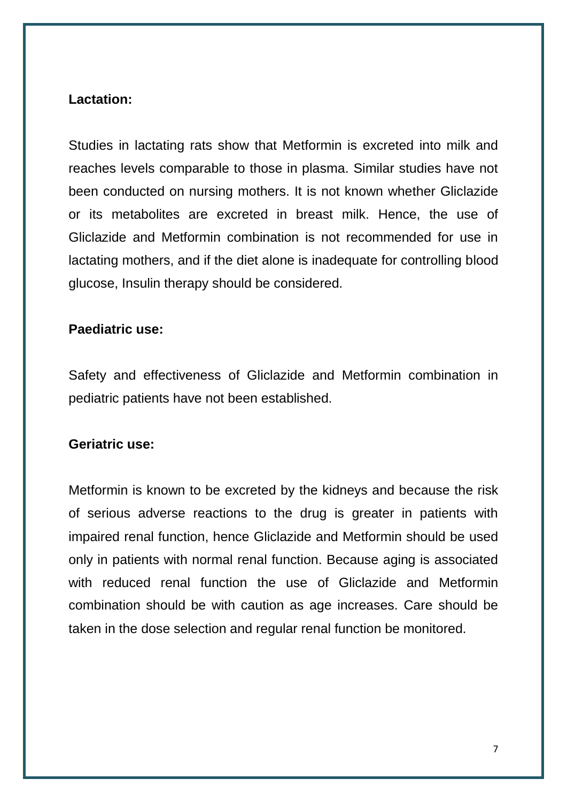## **Lactation:**

Studies in lactating rats show that Metformin is excreted into milk and reaches levels comparable to those in plasma. Similar studies have not been conducted on nursing mothers. It is not known whether Gliclazide or its metabolites are excreted in breast milk. Hence, the use of Gliclazide and Metformin combination is not recommended for use in lactating mothers, and if the diet alone is inadequate for controlling blood glucose, Insulin therapy should be considered.

#### **Paediatric use:**

Safety and effectiveness of Gliclazide and Metformin combination in pediatric patients have not been established.

#### **Geriatric use:**

Metformin is known to be excreted by the kidneys and because the risk of serious adverse reactions to the drug is greater in patients with impaired renal function, hence Gliclazide and Metformin should be used only in patients with normal renal function. Because aging is associated with reduced renal function the use of Gliclazide and Metformin combination should be with caution as age increases. Care should be taken in the dose selection and regular renal function be monitored.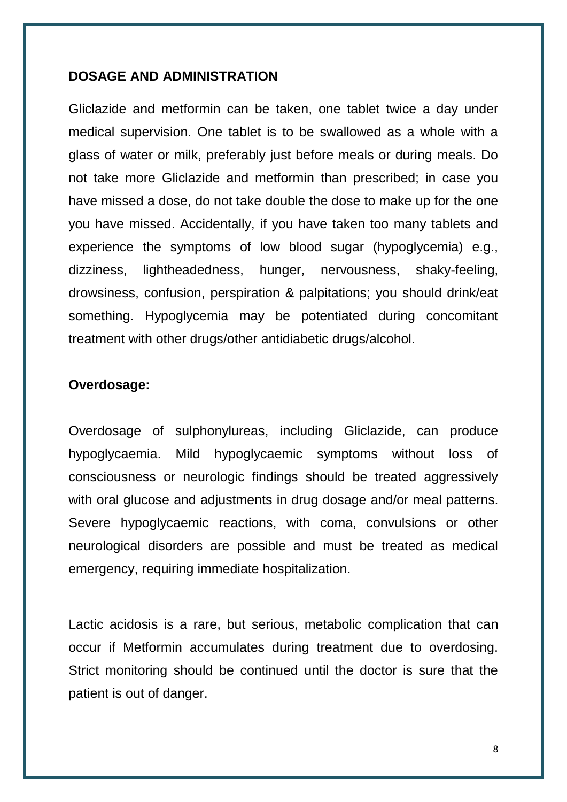#### **DOSAGE AND ADMINISTRATION**

Gliclazide and metformin can be taken, one tablet twice a day under medical supervision. One tablet is to be swallowed as a whole with a glass of water or milk, preferably just before meals or during meals. Do not take more Gliclazide and metformin than prescribed; in case you have missed a dose, do not take double the dose to make up for the one you have missed. Accidentally, if you have taken too many tablets and experience the symptoms of low blood sugar (hypoglycemia) e.g., dizziness, lightheadedness, hunger, nervousness, shaky-feeling, drowsiness, confusion, perspiration & palpitations; you should drink/eat something. Hypoglycemia may be potentiated during concomitant treatment with other drugs/other antidiabetic drugs/alcohol.

#### **Overdosage:**

Overdosage of sulphonylureas, including Gliclazide, can produce hypoglycaemia. Mild hypoglycaemic symptoms without loss of consciousness or neurologic findings should be treated aggressively with oral glucose and adjustments in drug dosage and/or meal patterns. Severe hypoglycaemic reactions, with coma, convulsions or other neurological disorders are possible and must be treated as medical emergency, requiring immediate hospitalization.

Lactic acidosis is a rare, but serious, metabolic complication that can occur if Metformin accumulates during treatment due to overdosing. Strict monitoring should be continued until the doctor is sure that the patient is out of danger.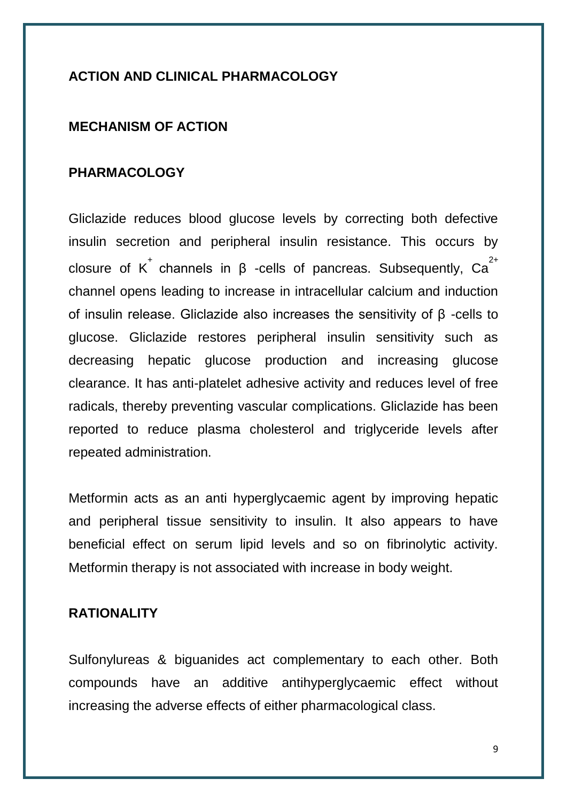## **ACTION AND CLINICAL PHARMACOLOGY**

#### **MECHANISM OF ACTION**

#### **PHARMACOLOGY**

Gliclazide reduces blood glucose levels by correcting both defective insulin secretion and peripheral insulin resistance. This occurs by closure of K<sup>+</sup> channels in  $\beta$  -cells of pancreas. Subsequently, Ca<sup>2+</sup> channel opens leading to increase in intracellular calcium and induction of insulin release. Gliclazide also increases the sensitivity of β -cells to glucose. Gliclazide restores peripheral insulin sensitivity such as decreasing hepatic glucose production and increasing glucose clearance. It has anti-platelet adhesive activity and reduces level of free radicals, thereby preventing vascular complications. Gliclazide has been reported to reduce plasma cholesterol and triglyceride levels after repeated administration.

Metformin acts as an anti hyperglycaemic agent by improving hepatic and peripheral tissue sensitivity to insulin. It also appears to have beneficial effect on serum lipid levels and so on fibrinolytic activity. Metformin therapy is not associated with increase in body weight.

#### **RATIONALITY**

Sulfonylureas & biguanides act complementary to each other. Both compounds have an additive antihyperglycaemic effect without increasing the adverse effects of either pharmacological class.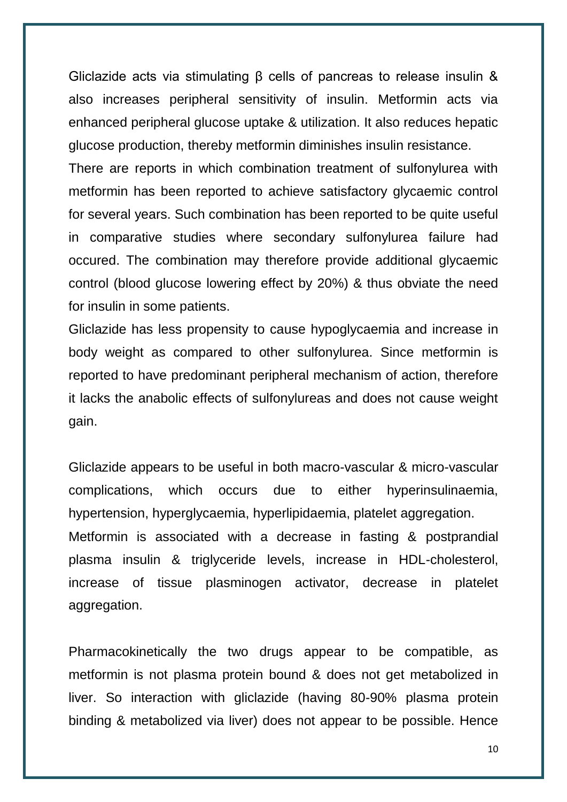Gliclazide acts via stimulating β cells of pancreas to release insulin & also increases peripheral sensitivity of insulin. Metformin acts via enhanced peripheral glucose uptake & utilization. It also reduces hepatic glucose production, thereby metformin diminishes insulin resistance.

There are reports in which combination treatment of sulfonylurea with metformin has been reported to achieve satisfactory glycaemic control for several years. Such combination has been reported to be quite useful in comparative studies where secondary sulfonylurea failure had occured. The combination may therefore provide additional glycaemic control (blood glucose lowering effect by 20%) & thus obviate the need for insulin in some patients.

Gliclazide has less propensity to cause hypoglycaemia and increase in body weight as compared to other sulfonylurea. Since metformin is reported to have predominant peripheral mechanism of action, therefore it lacks the anabolic effects of sulfonylureas and does not cause weight gain.

Gliclazide appears to be useful in both macro-vascular & micro-vascular complications, which occurs due to either hyperinsulinaemia, hypertension, hyperglycaemia, hyperlipidaemia, platelet aggregation. Metformin is associated with a decrease in fasting & postprandial plasma insulin & triglyceride levels, increase in HDL-cholesterol, increase of tissue plasminogen activator, decrease in platelet aggregation.

Pharmacokinetically the two drugs appear to be compatible, as metformin is not plasma protein bound & does not get metabolized in liver. So interaction with gliclazide (having 80-90% plasma protein binding & metabolized via liver) does not appear to be possible. Hence

10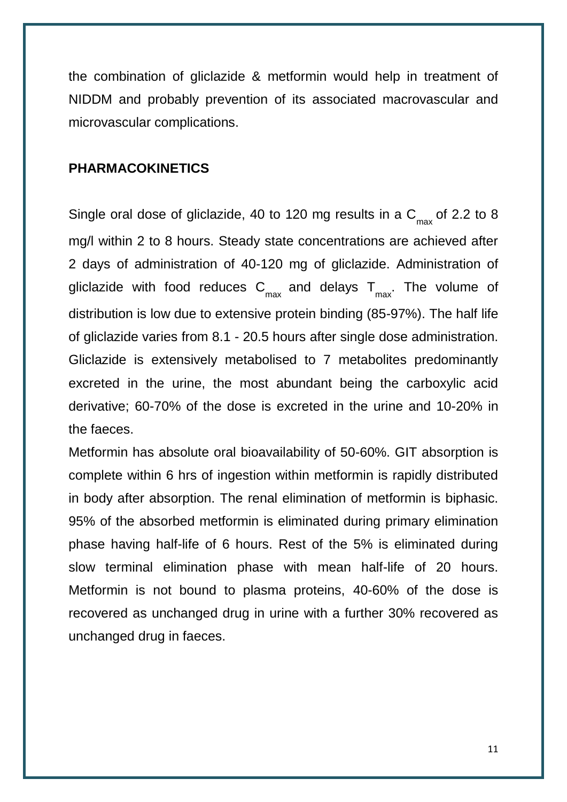the combination of gliclazide & metformin would help in treatment of NIDDM and probably prevention of its associated macrovascular and microvascular complications.

## **PHARMACOKINETICS**

Single oral dose of gliclazide, 40 to 120 mg results in a  $\textsf{C}_{\max}$  of 2.2 to 8 mg/l within 2 to 8 hours. Steady state concentrations are achieved after 2 days of administration of 40-120 mg of gliclazide. Administration of gliclazide with food reduces  $\mathsf{C}_{\mathsf{max}}^{\mathsf{d}}$  and delays  $\mathsf{T}_{\mathsf{max}}^{\mathsf{d}}$ . The volume of distribution is low due to extensive protein binding (85-97%). The half life of gliclazide varies from 8.1 - 20.5 hours after single dose administration. Gliclazide is extensively metabolised to 7 metabolites predominantly excreted in the urine, the most abundant being the carboxylic acid derivative; 60-70% of the dose is excreted in the urine and 10-20% in the faeces.

Metformin has absolute oral bioavailability of 50-60%. GIT absorption is complete within 6 hrs of ingestion within metformin is rapidly distributed in body after absorption. The renal elimination of metformin is biphasic. 95% of the absorbed metformin is eliminated during primary elimination phase having half-life of 6 hours. Rest of the 5% is eliminated during slow terminal elimination phase with mean half-life of 20 hours. Metformin is not bound to plasma proteins, 40-60% of the dose is recovered as unchanged drug in urine with a further 30% recovered as unchanged drug in faeces.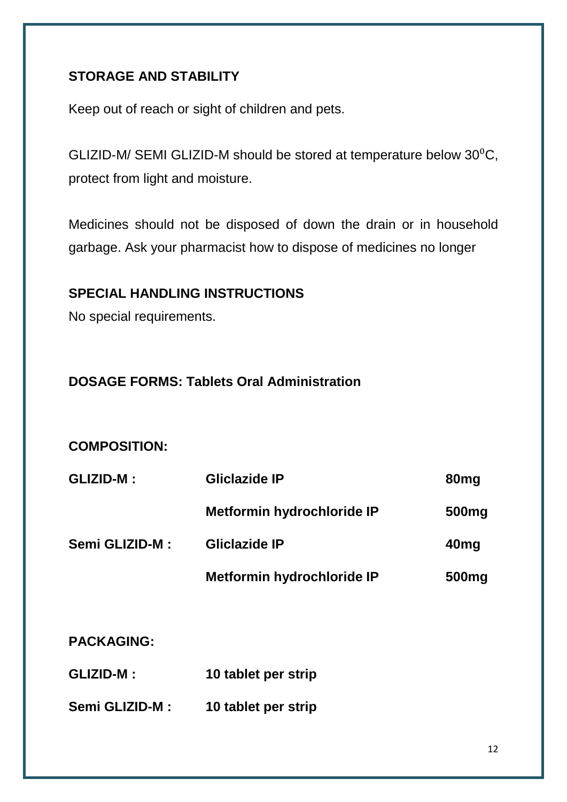# **STORAGE AND STABILITY**

Keep out of reach or sight of children and pets.

GLIZID-M/ SEMI GLIZID-M should be stored at temperature below  $30^0C$ , protect from light and moisture.

Medicines should not be disposed of down the drain or in household garbage. Ask your pharmacist how to dispose of medicines no longer

## **SPECIAL HANDLING INSTRUCTIONS**

No special requirements.

## **DOSAGE FORMS: Tablets Oral Administration**

## **COMPOSITION:**

| <b>GLIZID-M:</b> | Gliclazide IP              | 80 <sub>mg</sub>  |
|------------------|----------------------------|-------------------|
|                  | Metformin hydrochloride IP | 500 <sub>mg</sub> |
| Semi GLIZID-M:   | <b>Gliclazide IP</b>       | 40 <sub>mg</sub>  |
|                  | Metformin hydrochloride IP | 500 <sub>mg</sub> |

**PACKAGING:**

- **GLIZID-M : 10 tablet per strip**
- **Semi GLIZID-M : 10 tablet per strip**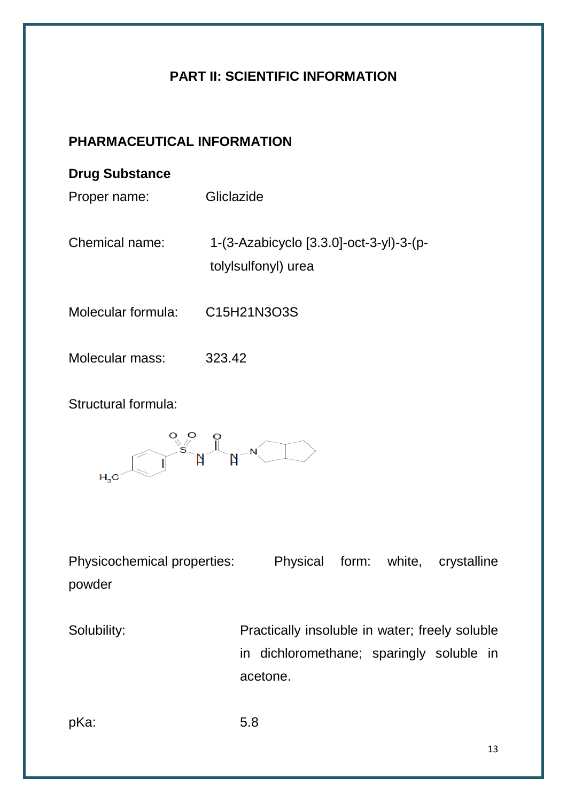# **PART II: SCIENTIFIC INFORMATION**

# **PHARMACEUTICAL INFORMATION**

## **Drug Substance**

Proper name: Gliclazide

Chemical name: 1-(3-Azabicyclo [3.3.0]-oct-3-yl)-3-(ptolylsulfonyl) urea

- Molecular formula: C15H21N3O3S
- Molecular mass: 323.42

Structural formula:



Physicochemical properties: Physical form: white, crystalline powder

Solubility: Practically insoluble in water; freely soluble in dichloromethane; sparingly soluble in acetone.

pKa: 5.8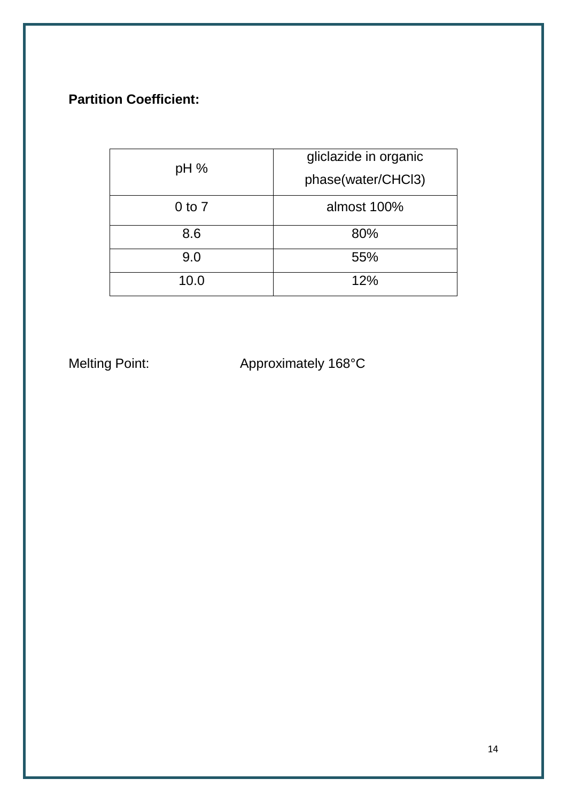# **Partition Coefficient:**

| pH%        | gliclazide in organic |
|------------|-----------------------|
|            | phase(water/CHCl3)    |
| $0$ to $7$ | almost 100%           |
| 8.6        | 80%                   |
| 9.0        | 55%                   |
| 10.0       | 12%                   |

Melting Point: Approximately 168°C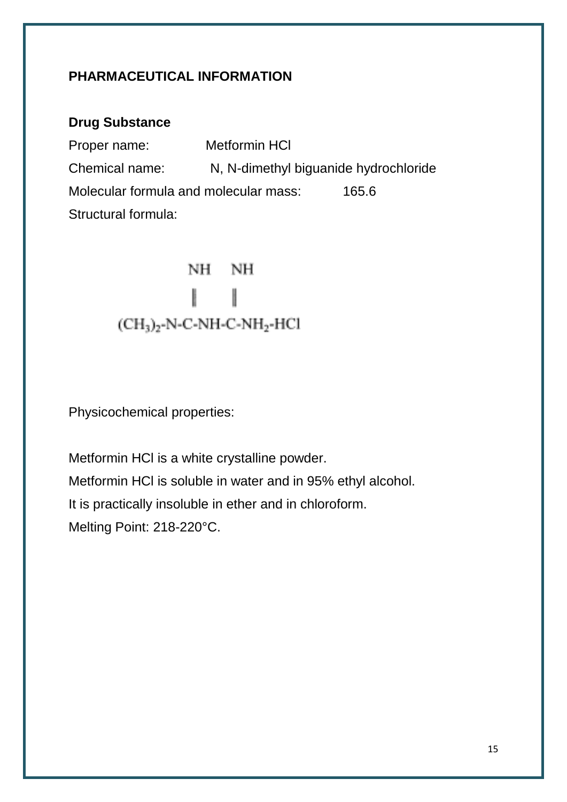## **PHARMACEUTICAL INFORMATION**

## **Drug Substance**

Proper name: Metformin HCl Chemical name: N, N-dimethyl biguanide hydrochloride Molecular formula and molecular mass: 165.6 Structural formula:

> NH NH ł  $(CH<sub>3</sub>)<sub>2</sub>-N-C-NH-C-NH<sub>2</sub>-HCl$

Physicochemical properties:

Metformin HCl is a white crystalline powder. Metformin HCl is soluble in water and in 95% ethyl alcohol. It is practically insoluble in ether and in chloroform. Melting Point: 218-220°C.